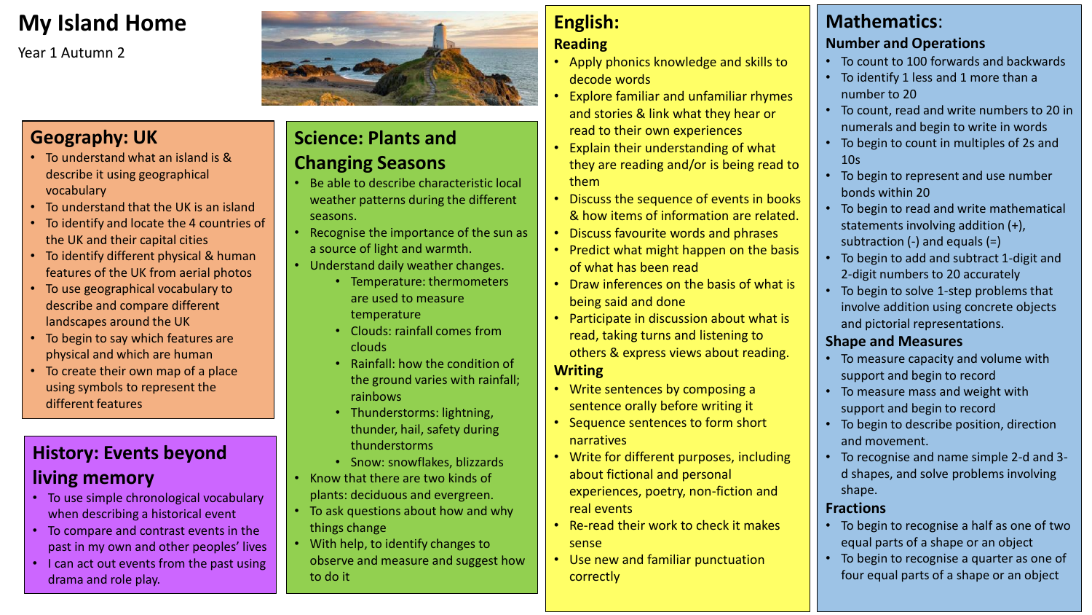## **My Island Home**

Year 1 Autumn 2

## **Geography: UK**

- To understand what an island is & describe it using geographical vocabulary
- To understand that the UK is an island
- To identify and locate the 4 countries of the UK and their capital cities
- To identify different physical & human features of the UK from aerial photos
- To use geographical vocabulary to describe and compare different landscapes around the UK
- To begin to say which features are physical and which are human
- To create their own map of a place using symbols to represent the different features

## **History: Events beyond living memory**

- To use simple chronological vocabulary when describing a historical event
- To compare and contrast events in the past in my own and other peoples' lives
- I can act out events from the past using drama and role play.

## **Science: Plants and Changing Seasons**

- Be able to describe characteristic local weather patterns during the different seasons.
- Recognise the importance of the sun as a source of light and warmth.
- Understand daily weather changes.
	- Temperature: thermometers are used to measure temperature
	- Clouds: rainfall comes from clouds
	- Rainfall: how the condition of the ground varies with rainfall; rainbows
	- Thunderstorms: lightning, thunder, hail, safety during thunderstorms
	- Snow: snowflakes, blizzards • Know that there are two kinds of
- plants: deciduous and evergreen.
- To ask questions about how and why things change
- With help, to identify changes to observe and measure and suggest how to do it

# **English:**

#### **Reading**

- Apply phonics knowledge and skills to decode words
- Explore familiar and unfamiliar rhymes and stories & link what they hear or read to their own experiences
- Explain their understanding of what they are reading and/or is being read to them
- Discuss the sequence of events in books & how items of information are related.
- Discuss favourite words and phrases
- Predict what might happen on the basis of what has been read
- Draw inferences on the basis of what is being said and done
- Participate in discussion about what is read, taking turns and listening to others & express views about reading.

#### **Writing**

- Write sentences by composing a sentence orally before writing it
- Sequence sentences to form short narratives
- Write for different purposes, including about fictional and personal experiences, poetry, non-fiction and real events
- Re-read their work to check it makes sense
- Use new and familiar punctuation correctly

## **Mathematics**:

#### **Number and Operations**

- To count to 100 forwards and backwards
- To identify 1 less and 1 more than a number to 20
- To count, read and write numbers to 20 in numerals and begin to write in words
- To begin to count in multiples of 2s and 10s
- To begin to represent and use number bonds within 20
- To begin to read and write mathematical statements involving addition (+), subtraction (-) and equals (=)
- To begin to add and subtract 1-digit and 2-digit numbers to 20 accurately
- To begin to solve 1-step problems that involve addition using concrete objects and pictorial representations.

#### **Shape and Measures**

- To measure capacity and volume with support and begin to record
- To measure mass and weight with support and begin to record
- To begin to describe position, direction and movement.
- To recognise and name simple 2-d and 3 d shapes, and solve problems involving shape.

#### **Fractions**

- To begin to recognise a half as one of two equal parts of a shape or an object
- To begin to recognise a quarter as one of four equal parts of a shape or an object